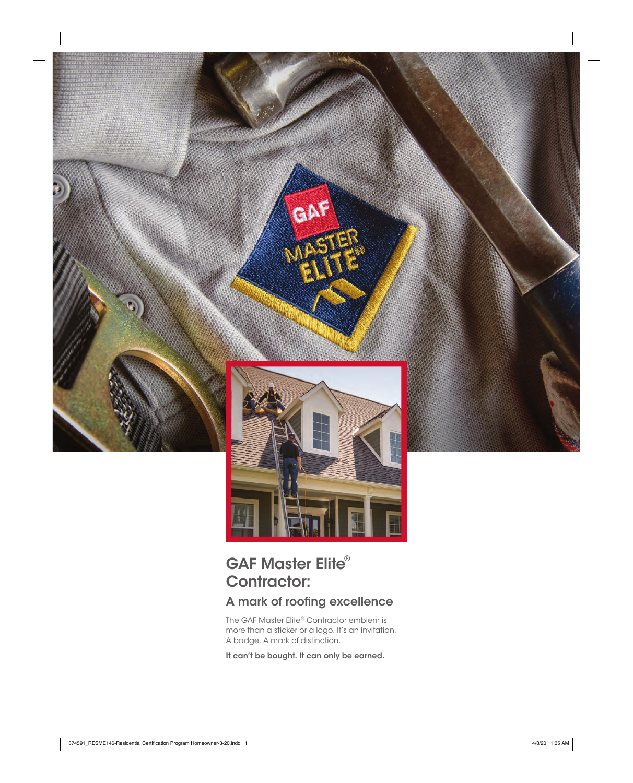

## GAF Master Elite® Contractor:

## A mark of roofing excellence

The GAF Master Elite® Contractor emblem is more than a sticker or a logo. It's an invitation. A badge. A mark of distinction.

It can't be bought. It can only be earned.